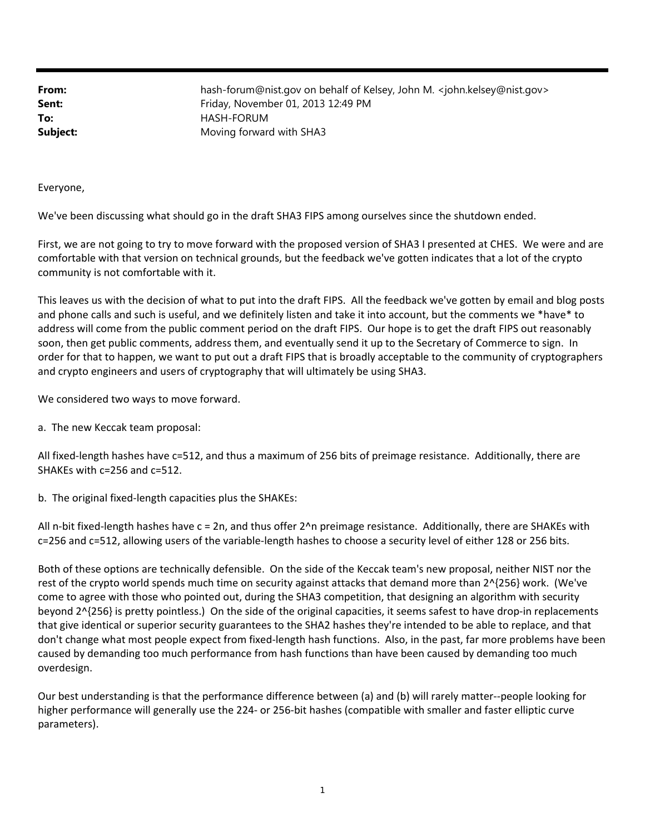**From: hash-forum@nist.gov on behalf of Kelsey, John M. <john.kelsey@nist.gov> Sent: Friday, November 01, 2013 12:49 PM To:** HASH-FORUM **Subject:** Moving forward with SHA3

Everyone,

We've been discussing what should go in the draft SHA3 FIPS among ourselves since the shutdown ended.

 First, we are not going to try to move forward with the proposed version of SHA3 I presented at CHES. We were and are comfortable with that version on technical grounds, but the feedback we've gotten indicates that a lot of the crypto community is not comfortable with it.

 This leaves us with the decision of what to put into the draft FIPS. All the feedback we've gotten by email and blog posts and phone calls and such is useful, and we definitely listen and take it into account, but the comments we \*have\* to address will come from the public comment period on the draft FIPS. Our hope is to get the draft FIPS out reasonably soon, then get public comments, address them, and eventually send it up to the Secretary of Commerce to sign. In order for that to happen, we want to put out a draft FIPS that is broadly acceptable to the community of cryptographers and crypto engineers and users of cryptography that will ultimately be using SHA3.

We considered two ways to move forward.

a. The new Keccak team proposal:

All fixed-length hashes have c=512, and thus a maximum of 256 bits of preimage resistance. Additionally, there are SHAKEs with c=256 and c=512.

b. The original fixed‐length capacities plus the SHAKEs:

All n-bit fixed-length hashes have c = 2n, and thus offer 2^n preimage resistance. Additionally, there are SHAKEs with c=256 and c=512, allowing users of the variable‐length hashes to choose a security level of either 128 or 256 bits.

 Both of these options are technically defensible. On the side of the Keccak team's new proposal, neither NIST nor the rest of the crypto world spends much time on security against attacks that demand more than 2^{256} work. (We've come to agree with those who pointed out, during the SHA3 competition, that designing an algorithm with security beyond 2^{256} is pretty pointless.) On the side of the original capacities, it seems safest to have drop‐in replacements that give identical or superior security guarantees to the SHA2 hashes they're intended to be able to replace, and that don't change what most people expect from fixed‐length hash functions. Also, in the past, far more problems have been caused by demanding too much performance from hash functions than have been caused by demanding too much overdesign.

 Our best understanding is that the performance difference between (a) and (b) will rarely matter‐‐people looking for higher performance will generally use the 224‐ or 256‐bit hashes (compatible with smaller and faster elliptic curve parameters).